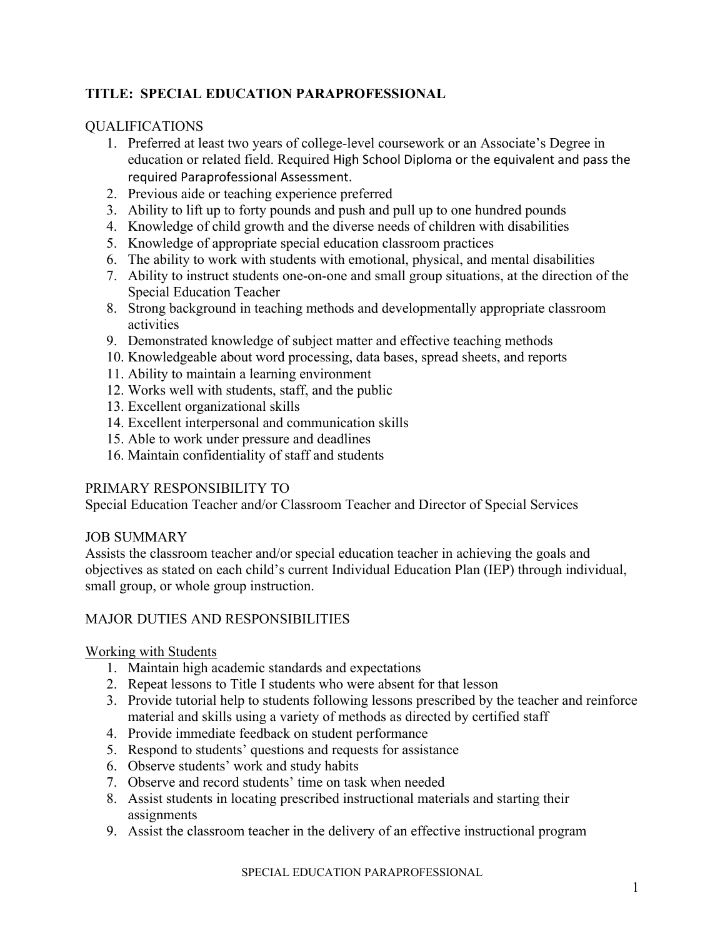# **TITLE: SPECIAL EDUCATION PARAPROFESSIONAL**

## QUALIFICATIONS

- 1. Preferred at least two years of college-level coursework or an Associate's Degree in education or related field. Required High School Diploma or the equivalent and pass the required Paraprofessional Assessment.
- 2. Previous aide or teaching experience preferred
- 3. Ability to lift up to forty pounds and push and pull up to one hundred pounds
- 4. Knowledge of child growth and the diverse needs of children with disabilities
- 5. Knowledge of appropriate special education classroom practices
- 6. The ability to work with students with emotional, physical, and mental disabilities
- 7. Ability to instruct students one-on-one and small group situations, at the direction of the Special Education Teacher
- 8. Strong background in teaching methods and developmentally appropriate classroom activities
- 9. Demonstrated knowledge of subject matter and effective teaching methods
- 10. Knowledgeable about word processing, data bases, spread sheets, and reports
- 11. Ability to maintain a learning environment
- 12. Works well with students, staff, and the public
- 13. Excellent organizational skills
- 14. Excellent interpersonal and communication skills
- 15. Able to work under pressure and deadlines
- 16. Maintain confidentiality of staff and students

# PRIMARY RESPONSIBILITY TO

Special Education Teacher and/or Classroom Teacher and Director of Special Services

### JOB SUMMARY

Assists the classroom teacher and/or special education teacher in achieving the goals and objectives as stated on each child's current Individual Education Plan (IEP) through individual, small group, or whole group instruction.

# MAJOR DUTIES AND RESPONSIBILITIES

### Working with Students

- 1. Maintain high academic standards and expectations
- 2. Repeat lessons to Title I students who were absent for that lesson
- 3. Provide tutorial help to students following lessons prescribed by the teacher and reinforce material and skills using a variety of methods as directed by certified staff
- 4. Provide immediate feedback on student performance
- 5. Respond to students' questions and requests for assistance
- 6. Observe students' work and study habits
- 7. Observe and record students' time on task when needed
- 8. Assist students in locating prescribed instructional materials and starting their assignments
- 9. Assist the classroom teacher in the delivery of an effective instructional program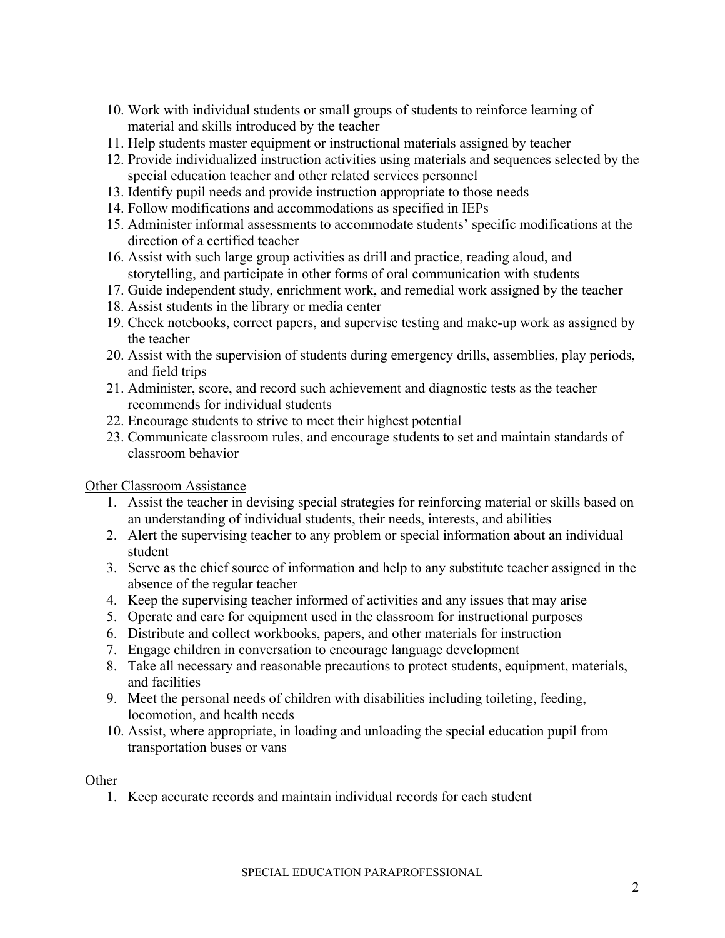- 10. Work with individual students or small groups of students to reinforce learning of material and skills introduced by the teacher
- 11. Help students master equipment or instructional materials assigned by teacher
- 12. Provide individualized instruction activities using materials and sequences selected by the special education teacher and other related services personnel
- 13. Identify pupil needs and provide instruction appropriate to those needs
- 14. Follow modifications and accommodations as specified in IEPs
- 15. Administer informal assessments to accommodate students' specific modifications at the direction of a certified teacher
- 16. Assist with such large group activities as drill and practice, reading aloud, and storytelling, and participate in other forms of oral communication with students
- 17. Guide independent study, enrichment work, and remedial work assigned by the teacher
- 18. Assist students in the library or media center
- 19. Check notebooks, correct papers, and supervise testing and make-up work as assigned by the teacher
- 20. Assist with the supervision of students during emergency drills, assemblies, play periods, and field trips
- 21. Administer, score, and record such achievement and diagnostic tests as the teacher recommends for individual students
- 22. Encourage students to strive to meet their highest potential
- 23. Communicate classroom rules, and encourage students to set and maintain standards of classroom behavior

Other Classroom Assistance

- 1. Assist the teacher in devising special strategies for reinforcing material or skills based on an understanding of individual students, their needs, interests, and abilities
- 2. Alert the supervising teacher to any problem or special information about an individual student
- 3. Serve as the chief source of information and help to any substitute teacher assigned in the absence of the regular teacher
- 4. Keep the supervising teacher informed of activities and any issues that may arise
- 5. Operate and care for equipment used in the classroom for instructional purposes
- 6. Distribute and collect workbooks, papers, and other materials for instruction
- 7. Engage children in conversation to encourage language development
- 8. Take all necessary and reasonable precautions to protect students, equipment, materials, and facilities
- 9. Meet the personal needs of children with disabilities including toileting, feeding, locomotion, and health needs
- 10. Assist, where appropriate, in loading and unloading the special education pupil from transportation buses or vans

#### **Other**

1. Keep accurate records and maintain individual records for each student